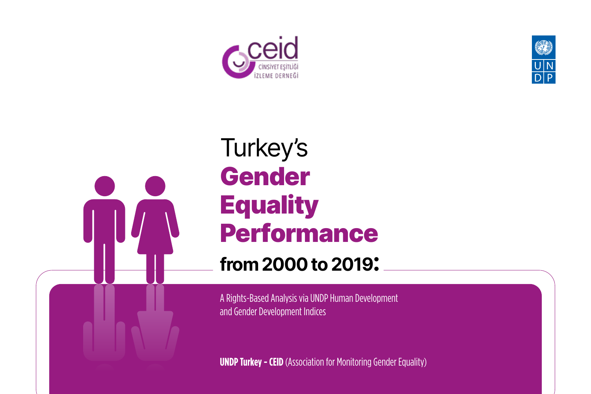



# Turkey's Gender **Equality** Performance

**from 2000 to 2019:** 

A Rights-Based Analysis via UNDP Human Development and Gender Development Indices

**UNDP Turkey - CEID** (Association for Monitoring Gender Equality)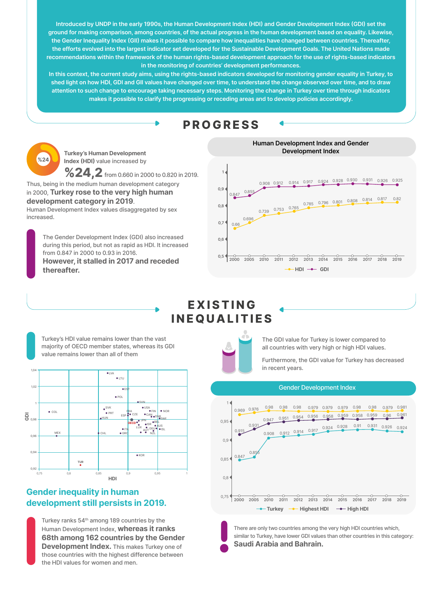**Introduced by UNDP in the early 1990s, the Human Development Index (HDI) and Gender Development Index (GDI) set the ground for making comparison, among countries, of the actual progress in the human development based on equality. Likewise, the Gender Inequality Index (GII) makes it possible to compare how inequalities have changed between countries. Thereafter, the efforts evolved into the largest indicator set developed for the Sustainable Development Goals. The United Nations made recommendations within the framework of the human rights-based development approach for the use of rights-based indicators in the monitoring of countries' development performances.** 

**In this context, the current study aims, using the rights-based indicators developed for monitoring gender equality in Turkey, to shed light on how HDI, GDI and GII values have changed over time, to understand the change observed over time, and to draw attention to such change to encourage taking necessary steps. Monitoring the change in Turkey over time through indicators makes it possible to clarify the progressing or receding areas and to develop policies accordingly.**

# **PROGRESS**

**Turkey's Human Development Index (HDI)** value increased by

The Gender Development Index (GDI) also increased during this period, but not as rapid as HDI. It increased from 0.847 in 2000 to 0.93 in 2016. **However, it stalled in 2017 and receded thereafter.** 

Turkey ranks 54<sup>th</sup> among 189 countries by the Human Development Index, **whereas it ranks 68th among 162 countries by the Gender Development Index.** This makes Turkey one of those countries with the highest difference between the HDI values for women and men.

Thus, being in the medium human development category in 2000, **Turkey rose to the very high human development category in 2019**.

Human Development Index values disaggregated by sex increased.



**%24,2**from 0.660 in 2000 to 0.820 in 2019.



# **E X I S T I N G INEQUALITIES**

Turkey's HDI value remains lower than the vast majority of OECD member states, whereas its GDI value remains lower than all of them

> There are only two countries among the very high HDI countries which, similar to Turkey, have lower GDI values than other countries in this category: **Saudi Arabia and Bahrain.**

The GDI value for Turkey is lower compared to all countries with very high or high HDI values.

Furthermore, the GDI value for Turkey has decreased in recent years.

### **Gender inequality in human development still persists in 2019.**











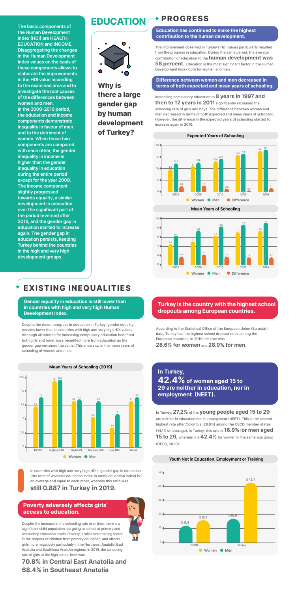**The basic components of the Human Development Index (HDI) are HEALTH, EDUCATION and INCOME. Disaggregating the changes in the Human Development Index values on the basis of these components allows to elaborate the improvements in the HDI value according to the examined area and to investigate the root causes of the differences between women and men. In the 2000-2019 period, the education and income components demonstrate inequality in favour of men and to the detriment of women. When these two components are compared with each other, the gender inequality in income is higher than the gender inequality in education during the entire period except for the year 2000. The income component slightly progressed towards equality, a similar development in education over the significant part of the period reversed after 2016, and the gender gap in education started to increase again. The gender gap in education persists, keeping Turkey behind the countries in the high and very high development groups.** 

# **PROGRESS**

# **EXISTING INEQUALITIES**

# **EDUCATION**



# **Why is there a large gender gap by human development of Turkey?**

The improvement observed in Turkey's HDI values particularly resulted from the progress in education. During the same period, the average contribution of education to the **human development was 58 percent.** Education is the most significant factor in the Human Development Index both for women and men.

Increasing compulsory education to **8 years in 1997 and then to 12 years in 2011** significantly increased the schooling rate of girls and boys. The difference between women and men decreased in terms of both expected and mean years of schooling. However, the difference in the expected years of schooling started to increase again in 2019.

Despite the recent progress in education in Turkey, gender equality remains lower than in countries with high and very high HDI values. Although all reforms for increasing compulsory education benefited both girls and boys, boys benefited more from education as the gender gap remained the same. This shows up in the mean years of schooling of women and men.

According to the Statistical Office of the European Union (Eurostat) data, Turkey has the highest school dropout rates among the European countries. In 2019 this rate was

**28.6% for women** and **28.9% for men**.

In Turkey, **27.2%** of the **young people aged 15 to 29** are neither in education nor in employment (NEET). This is the second highest rate after Colombia (29.6%) among the OECD member states (14.1% on average). In Turkey, this rate is **16.9%** f**or men aged 15 to 29,** whereas it is **42.4%** for women in the same age group (OECD, 2020).

Despite the increase in the schooling rate over time, there is a significant child population not going to school at primary and secondary education levels. Poverty is still a determining factor in the dropout of children from primary education, and affects girls more negatively particularly in the Northeast Anatolia, East Anatolia and Southeast Anatolia regions. In 2019, the schooling rate of girls at the high school level was

# **70.8% in Central East Anatolia and 68.4% in Southeast Anatolia**.

In countries with high and very high HDIs, gender gap in education (the ratio of women's education index to men's education index) is 1 on average and equal to each other, whereas this ratio was

### **still 0.887 in Turkey in 2019.**

**Education has continued to make the highest contribution to the human development.**

**Gender equality in education is still lower than in countries with high and very high Human** 

#### **Development Index.**

**Turkey is the country with the highest school dropouts among European countries.** 

**In Turkey, 42.4% of women aged 15 to 29 are neither in education, nor in employment (NEET).**

#### **Poverty adversely affects girls' access to education.**

#### **Difference between women and men decreased in terms of both expected and mean years of schooling.**









#### **Youth Not in Education, Employment or Training**

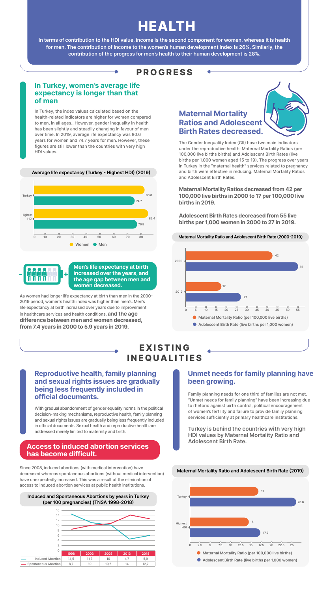**In terms of contribution to the HDI value, income is the second component for women, whereas it is health for men. The contribution of income to the women's human development index is 26%. Similarly, the contribution of the progress for men's health to their human development is 28%.**

# **PROGRESS**

### **In Turkey, women's average life expectancy is longer than that of men**

#### **Reproductive health, family planning and sexual rights issues are gradually being less frequently included in official documents.**

#### **Unmet needs for family planning have been growing.**

### **Access to induced abortion services has become difficult.**

# **Maternal Mortality Ratios and Adolescent Birth Rates decreased.**

In Turkey, the index values calculated based on the health-related indicators are higher for women compared to men, in all ages.. However, gender inequality in health has been slightly and steadily changing in favour of men over time. In 2019, average life expectancy was 80.6 years for women and 74.7 years for men. However, these figures are still lower than the countries with very high HDI values.

With gradual abandonment of gender equality norms in the political decision-making mechanisms, reproductive health, family planning and sexual rights issues are gradually being less frequently included in official documents. Sexual health and reproductive health are addressed merely limited to maternity and birth.

Since 2008, induced abortions (with medical intervention) have decreased whereas spontaneous abortions (without medical intervention) have unexpectedly increased. This was a result of the elimination of access to induced abortion services at public health institutions.

Family planning needs for one third of families are not met. "Unmet needs for family planning" have been increasing due to rhetoric against birth control, political encouragement of women's fertility and failure to provide family planning services sufficiently at primary healthcare institutions.

**Turkey is behind the countries with very high HDI values by Maternal Mortality Ratio and Adolescent Birth Rate.**

The Gender Inequality Index (GII) have two main indicators under the reproductive health: Maternal Mortality Ratios (per 100,000 live births births) and Adolescent Birth Rates (live births per 1,000 women aged 15 to 19). The progress over years in Turkey in the "maternal health" services related to pregnancy and birth were effective in reducing. Maternal Mortality Ratios and Adolescent Birth Rates.

#### **Maternal Mortality Ratios decreased from 42 per 100,000 live births in 2000 to 17 per 100,000 live births in 2019.**

**Adolescent Birth Rates decreased from 55 live births per 1,000 women in 2000 to 27 in 2019.**

As women had longer life expectancy at birth than men in the 2000- 2019 period, women's health index was higher than men's. Men's life expectancy at birth increased over years due to improvement in healthcare services and health conditions, **and the age difference between men and women decreased, from 7.4 years in 2000 to 5.9 years in 2019.** 

# **E X I S T I N G INEQUALITIES**

# **HEALTH**

#### **Average life expectancy (Turkey - Highest HDI) (2019)**



#### **Maternal Mortality Ratio and Adolescent Birth Rate (2000-2019)**

#### **Maternal Mortality Ratio and Adolescent Birth Rate (2019)**







**Men's life expectancy at birth increased over the years, and the age gap between men and women decreased.**

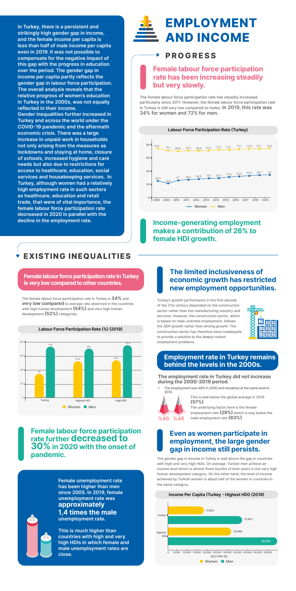**In Turkey, there is a persistent and strikingly high gender gap in income, and the female income per capita is less than half of male income per capita even in 2019. It was not possible to compensate for the negative impact of this gap with the progress in education over the period. The gender gap in income per capita partly reflects the gender gap in labour force participation. The overall analysis reveals that the relative progress of women's education in Turkey in the 2000s, was not equally reflected in their income. Gender inequalities further increased in Turkey and across the world under the COVID-19 pandemic and the aftermath economic crisis. There was a large increase in unpaid work in households not only arising from the measures as lockdowns and staying at home, closure of schools, increased hygiene and care needs but also due to restrictions for access to healthcare, education, social services and housekeeping services. In Turkey, although women had a relatively high employment rate in such sectors as healthcare, education and retail trade, that were of vital importance, the female labour force participation rate decreased in 2020 in parallel with the decline in the employment rate.**

# **EXISTING INEQUALITIES**



The female labour force participation rate in Turkey is **34%** and **very low compared** to average rate observed in the countries with high human development **(54%)** and very high human

development **(52%)** categories.

Turkey's growth performance in the first decade of the 21st century depended on the construction sector rather than the manufacturing industry and



services. However, the construction sector, which is based on male-oriented employment, follows the GDP growth rather than driving growth. The construction sector has therefore been inadequate to provide a solution to the deeply rooted employment problems.

The employment was 46% in 2000 and remained at the same level in 2019.

The gender gap in income in Turkey is well above the gap in countries with high and very high HDIs. On average, Turkish men achieve an income level which is almost three fourths of their peers in the very high human development category. On the other hand, the level of income achieved by Turkish women is about half of the women in countries in the same category.

This is well below the global average in 2019 **(57%)**.

The underlying factor here is the female employment rate **(29%)** which is way below the male employment rate **(63%)**.

**Female labour force participation rate in Turkey is very low compared to other countries.**

### **Employment rate in Turkey remains behind the levels in the 2000s.**

**Female unemployment rate has been higher than men since 2005. In 2019, female unemployment rate was approximately 1,4 times the male unemployment rate.** 

**This is much higher than countries with high and very high HDIs in which female and male unemployment rates are close.**



# **PROGRESS**

## **Female labour force participation rate has been increasing steadily but very slowly.**

# **Income-generating employment makes a contribution of 26% to female HDI growth.**

# **The limited inclusiveness of economic growth has restricted new employment opportunities.**

# **Even as women participate in employment, the large gender gap in income still persists.**

# **Female labour force participation rate further decreased to 30% in 2020 with the onset of pandemic.**

| 「 と く し く く |
|-------------|
|             |
| l           |
|             |
| chrc        |
|             |
|             |
|             |
|             |
|             |

The female labour force participation rate has steadily increased particularly since 2011. However, the female labour force participation rate in Turkey is still very low compared to males. **In 2019, this rate was 34% for women and 72% for men.** 





#### **The employment rate in Turkey did not increase during the 2000-2019 period.**

#### **Income Per Capita (Turkey - Highest HDI) (2019)**

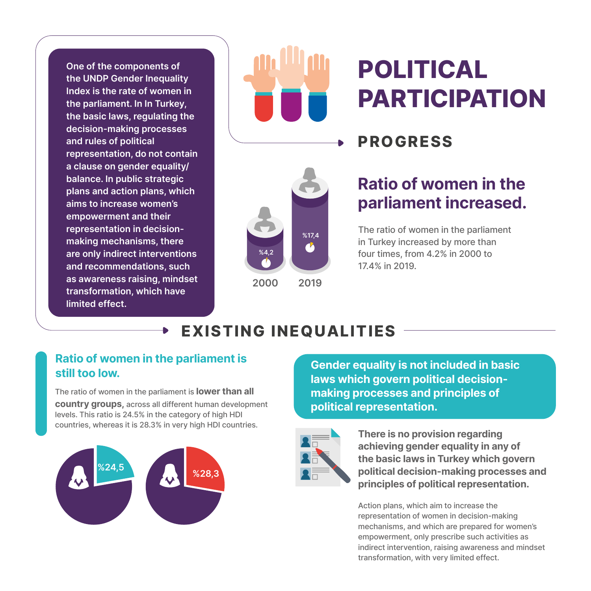**One of the components of the UNDP Gender Inequality Index is the rate of women in the parliament. In In Turkey, the basic laws, regulating the decision-making processes and rules of political representation, do not contain a clause on gender equality/ balance. In public strategic plans and action plans, which aims to increase women's empowerment and their representation in decisionmaking mechanisms, there are only indirect interventions and recommendations, such as awareness raising, mindset transformation, which have limited effect.**



# **POLITICAL PARTICIPATION**

# **PROGRESS**



**2000 2019**

# **Ratio of women in the parliament increased.**

The ratio of women in the parliament in Turkey increased by more than four times, from 4.2% in 2000 to 17.4% in 2019.

# **EXISTING INEQUALITIES**

# **Ratio of women in the parliament is**

The ratio of women in the parliament is **lower than all country groups,** across all different human development levels. This ratio is 24.5% in the category of high HDI countries, whereas it is 28.3% in very high HDI countries.



**still too low. Gender equality is not included in basic laws which govern political decisionmaking processes and principles of political representation.**



**There is no provision regarding achieving gender equality in any of the basic laws in Turkey which govern political decision-making processes and principles of political representation.**

Action plans, which aim to increase the representation of women in decision-making mechanisms, and which are prepared for women's empowerment, only prescribe such activities as indirect intervention, raising awareness and mindset transformation, with very limited effect.